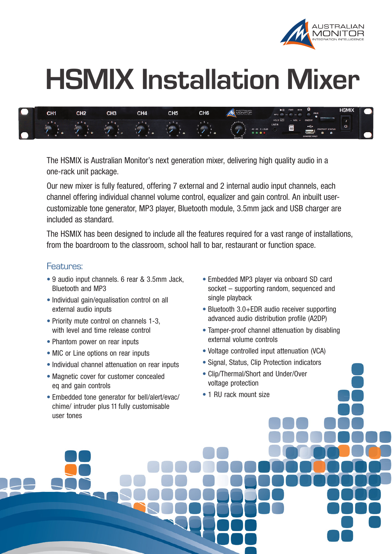

## **HSMIX Installation Mixer**

| $\sqrt{2}$ | CH <sub>1</sub> | <b>CLIO</b><br>பா∠ | CH <sub>3</sub> | CH4 | CH <sub>5</sub> | CH6 | <b>STRALIAN</b>                             | $\blacktriangleright$    FWD<br><b>BCK</b><br>ш<br>PAIR<br>MP3                                                         | <b>HSMIX</b> |
|------------|-----------------|--------------------|-----------------|-----|-----------------|-----|---------------------------------------------|------------------------------------------------------------------------------------------------------------------------|--------------|
|            | ___<br>$\sim$   |                    |                 |     |                 |     | $-5 - 1$<br>40 -20 0 +10dB<br><b>MASTER</b> | HOLD CD<br>ONOFF<br>$-$ VOL $+$<br><b>LINE IN</b><br>SD <sup>1</sup><br>$\div$<br>PROTECT STATUS<br><b>CHARGE ONLY</b> |              |

The HSMIX is Australian Monitor's next generation mixer, delivering high quality audio in a one-rack unit package.

Our new mixer is fully featured, offering 7 external and 2 internal audio input channels, each channel offering individual channel volume control, equalizer and gain control. An inbuilt usercustomizable tone generator, MP3 player, Bluetooth module, 3.5mm jack and USB charger are included as standard.

The HSMIX has been designed to include all the features required for a vast range of installations, from the boardroom to the classroom, school hall to bar, restaurant or function space.

## Features:

- 9 audio input channels. 6 rear & 3.5mm Jack, Bluetooth and MP3
- Individual gain/equalisation control on all external audio inputs
- Priority mute control on channels 1-3. with level and time release control
- Phantom power on rear inputs
- MIC or Line options on rear inputs
- Individual channel attenuation on rear inputs
- Magnetic cover for customer concealed eq and gain controls
- Embedded tone generator for bell/alert/evac/ chime/ intruder plus 11 fully customisable user tones
- Embedded MP3 player via onboard SD card socket – supporting random, sequenced and single playback
- Bluetooth 3.0+EDR audio receiver supporting advanced audio distribution profile (A2DP)
- Tamper-proof channel attenuation by disabling external volume controls
- Voltage controlled input attenuation (VCA)
- Signal, Status, Clip Protection indicators
- Clip/Thermal/Short and Under/Over voltage protection
- 1 RU rack mount size